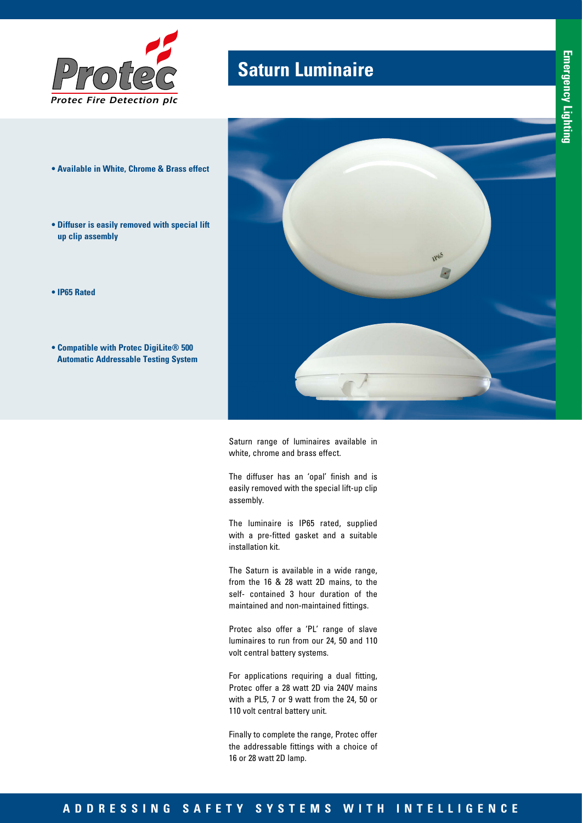

## **Saturn Luminaire**

- **Available in White, Chrome & Brass effect**
- **Diffuser is easily removed with special lift up clip assembly**
- **IP65 Rated**
- **Compatible with Protec DigiLite® 500 Automatic Addressable Testing System**



Saturn range of luminaires available in white, chrome and brass effect.

The diffuser has an 'opal' finish and is easily removed with the special lift-up clip assembly.

The luminaire is IP65 rated, supplied with a pre-fitted gasket and a suitable installation kit.

The Saturn is available in a wide range, from the 16 & 28 watt 2D mains, to the self- contained 3 hour duration of the maintained and non-maintained fittings.

Protec also offer a 'PL' range of slave luminaires to run from our 24, 50 and 110 volt central battery systems.

For applications requiring a dual fitting, Protec offer a 28 watt 2D via 240V mains with a PL5, 7 or 9 watt from the 24, 50 or 110 volt central battery unit.

Finally to complete the range, Protec offer the addressable fittings with a choice of 16 or 28 watt 2D lamp.